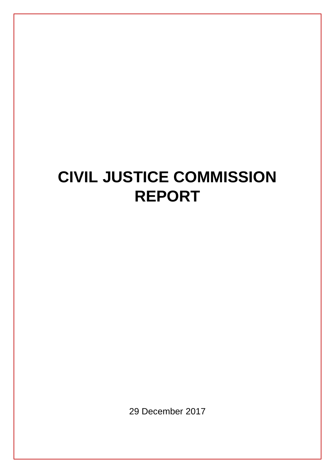# **CIVIL JUSTICE COMMISSION REPORT**

29 December 2017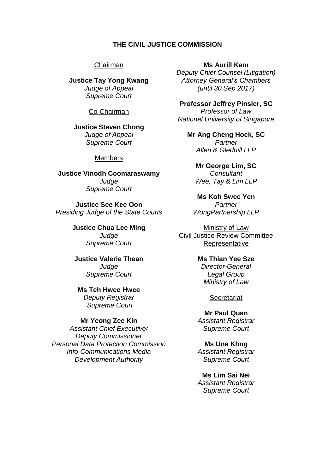#### **THE CIVIL JUSTICE COMMISSION**

#### Chairman

**Justice Tay Yong Kwang** *Judge of Appeal Supreme Court*

#### Co-Chairman

**Justice Steven Chong** *Judge of Appeal Supreme Court*

#### **Members**

**Justice Vinodh Coomaraswamy**  *Judge Supreme Court*

**Justice See Kee Oon** *Presiding Judge of the State Courts*

> **Justice Chua Lee Ming** *Judge Supreme Court*

**Justice Valerie Thean** *Judge Supreme Court*

**Ms Teh Hwee Hwee** *Deputy Registrar Supreme Court*

#### **Mr Yeong Zee Kin**

*Assistant Chief Executive/ Deputy Commissioner Personal Data Protection Commission Info-Communications Media Development Authority*

**Ms Aurill Kam**

*Deputy Chief Counsel (Litigation) Attorney General's Chambers (until 30 Sep 2017)*

**Professor Jeffrey Pinsler, SC** *Professor of Law National University of Singapore*

**Mr Ang Cheng Hock, SC** *Partner Allen & Gledhill LLP*

> **Mr George Lim, SC** *Consultant Wee, Tay & Lim LLP*

**Ms Koh Swee Yen** *Partner WongPartnership LLP*

Ministry of Law Civil Justice Review Committee **Representative** 

#### **Ms Thian Yee Sze** *Director-General Legal Group*

*Ministry of Law*

#### **Secretariat**

**Mr Paul Quan** *Assistant Registrar Supreme Court*

**Ms Una Khng** *Assistant Registrar Supreme Court*

**Ms Lim Sai Nei** *Assistant Registrar Supreme Court*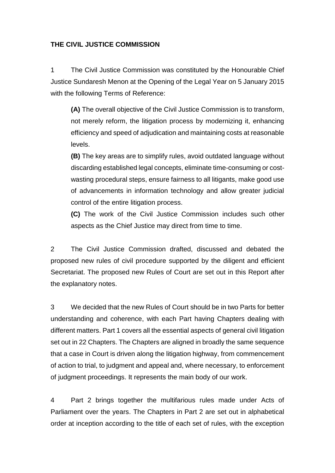#### **THE CIVIL JUSTICE COMMISSION**

1 The Civil Justice Commission was constituted by the Honourable Chief Justice Sundaresh Menon at the Opening of the Legal Year on 5 January 2015 with the following Terms of Reference:

**(A)** The overall objective of the Civil Justice Commission is to transform, not merely reform, the litigation process by modernizing it, enhancing efficiency and speed of adjudication and maintaining costs at reasonable levels.

**(B)** The key areas are to simplify rules, avoid outdated language without discarding established legal concepts, eliminate time-consuming or costwasting procedural steps, ensure fairness to all litigants, make good use of advancements in information technology and allow greater judicial control of the entire litigation process.

**(C)** The work of the Civil Justice Commission includes such other aspects as the Chief Justice may direct from time to time.

2 The Civil Justice Commission drafted, discussed and debated the proposed new rules of civil procedure supported by the diligent and efficient Secretariat. The proposed new Rules of Court are set out in this Report after the explanatory notes.

3 We decided that the new Rules of Court should be in two Parts for better understanding and coherence, with each Part having Chapters dealing with different matters. Part 1 covers all the essential aspects of general civil litigation set out in 22 Chapters. The Chapters are aligned in broadly the same sequence that a case in Court is driven along the litigation highway, from commencement of action to trial, to judgment and appeal and, where necessary, to enforcement of judgment proceedings. It represents the main body of our work.

4 Part 2 brings together the multifarious rules made under Acts of Parliament over the years. The Chapters in Part 2 are set out in alphabetical order at inception according to the title of each set of rules, with the exception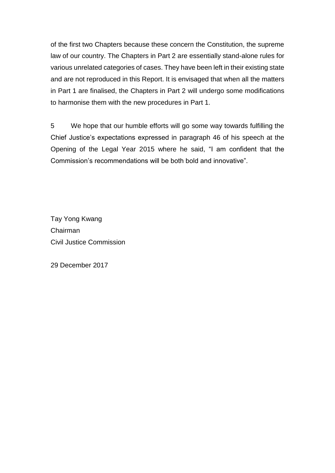of the first two Chapters because these concern the Constitution, the supreme law of our country. The Chapters in Part 2 are essentially stand-alone rules for various unrelated categories of cases. They have been left in their existing state and are not reproduced in this Report. It is envisaged that when all the matters in Part 1 are finalised, the Chapters in Part 2 will undergo some modifications to harmonise them with the new procedures in Part 1.

5 We hope that our humble efforts will go some way towards fulfilling the Chief Justice's expectations expressed in paragraph 46 of his speech at the Opening of the Legal Year 2015 where he said, "I am confident that the Commission's recommendations will be both bold and innovative".

Tay Yong Kwang Chairman Civil Justice Commission

29 December 2017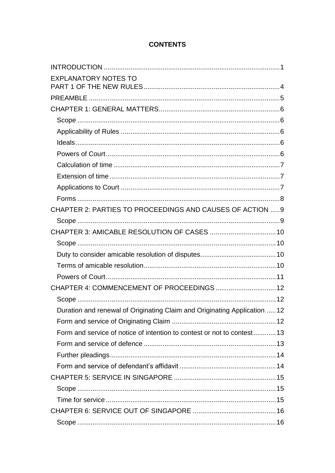# **CONTENTS**

| <b>EXPLANATORY NOTES TO</b>                                               |  |
|---------------------------------------------------------------------------|--|
|                                                                           |  |
|                                                                           |  |
|                                                                           |  |
|                                                                           |  |
|                                                                           |  |
|                                                                           |  |
|                                                                           |  |
|                                                                           |  |
|                                                                           |  |
|                                                                           |  |
| CHAPTER 2: PARTIES TO PROCEEDINGS AND CAUSES OF ACTION 9                  |  |
|                                                                           |  |
|                                                                           |  |
|                                                                           |  |
|                                                                           |  |
|                                                                           |  |
|                                                                           |  |
| CHAPTER 4: COMMENCEMENT OF PROCEEDINGS 12                                 |  |
|                                                                           |  |
| Duration and renewal of Originating Claim and Originating Application  12 |  |
|                                                                           |  |
| Form and service of notice of intention to contest or not to contest13    |  |
|                                                                           |  |
|                                                                           |  |
|                                                                           |  |
|                                                                           |  |
|                                                                           |  |
|                                                                           |  |
|                                                                           |  |
|                                                                           |  |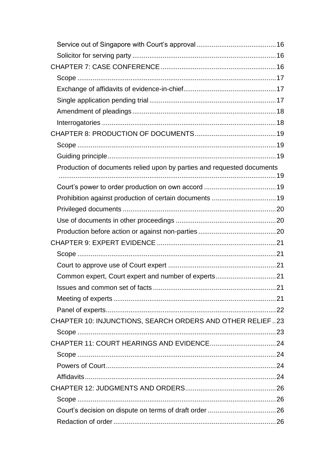| Production of documents relied upon by parties and requested documents |  |
|------------------------------------------------------------------------|--|
|                                                                        |  |
|                                                                        |  |
| Prohibition against production of certain documents  19                |  |
|                                                                        |  |
|                                                                        |  |
|                                                                        |  |
|                                                                        |  |
|                                                                        |  |
|                                                                        |  |
| Common expert, Court expert and number of experts21                    |  |
|                                                                        |  |
|                                                                        |  |
|                                                                        |  |
| CHAPTER 10: INJUNCTIONS, SEARCH ORDERS AND OTHER RELIEF23              |  |
|                                                                        |  |
|                                                                        |  |
|                                                                        |  |
|                                                                        |  |
|                                                                        |  |
|                                                                        |  |
|                                                                        |  |
|                                                                        |  |
|                                                                        |  |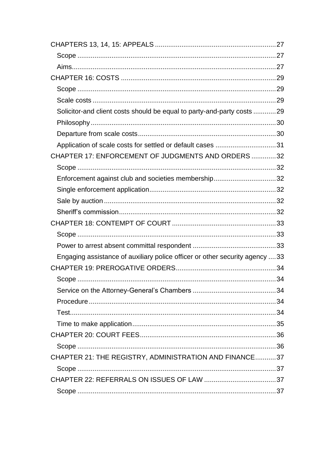| Solicitor-and client costs should be equal to party-and-party costs 29      |  |
|-----------------------------------------------------------------------------|--|
|                                                                             |  |
|                                                                             |  |
|                                                                             |  |
| CHAPTER 17: ENFORCEMENT OF JUDGMENTS AND ORDERS32                           |  |
|                                                                             |  |
| Enforcement against club and societies membership32                         |  |
|                                                                             |  |
|                                                                             |  |
|                                                                             |  |
|                                                                             |  |
|                                                                             |  |
|                                                                             |  |
| Engaging assistance of auxiliary police officer or other security agency 33 |  |
|                                                                             |  |
|                                                                             |  |
|                                                                             |  |
|                                                                             |  |
|                                                                             |  |
|                                                                             |  |
|                                                                             |  |
|                                                                             |  |
| CHAPTER 21: THE REGISTRY, ADMINISTRATION AND FINANCE37                      |  |
|                                                                             |  |
|                                                                             |  |
|                                                                             |  |
|                                                                             |  |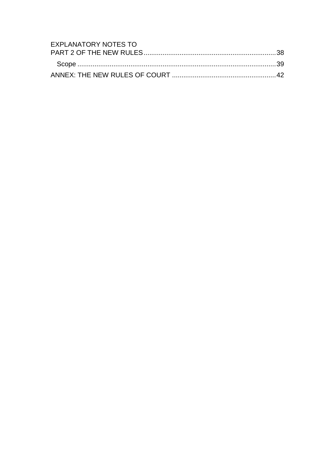| EXPLANATORY NOTES TO |  |
|----------------------|--|
|                      |  |
|                      |  |
|                      |  |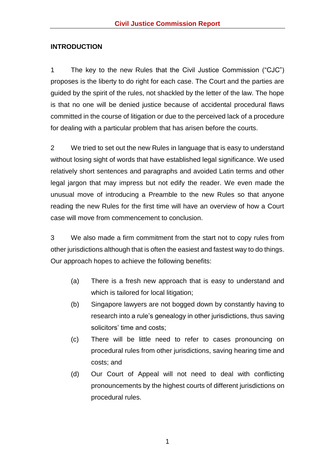#### <span id="page-8-0"></span>**INTRODUCTION**

1 The key to the new Rules that the Civil Justice Commission ("CJC") proposes is the liberty to do right for each case. The Court and the parties are guided by the spirit of the rules, not shackled by the letter of the law. The hope is that no one will be denied justice because of accidental procedural flaws committed in the course of litigation or due to the perceived lack of a procedure for dealing with a particular problem that has arisen before the courts.

2 We tried to set out the new Rules in language that is easy to understand without losing sight of words that have established legal significance. We used relatively short sentences and paragraphs and avoided Latin terms and other legal jargon that may impress but not edify the reader. We even made the unusual move of introducing a Preamble to the new Rules so that anyone reading the new Rules for the first time will have an overview of how a Court case will move from commencement to conclusion.

3 We also made a firm commitment from the start not to copy rules from other jurisdictions although that is often the easiest and fastest way to do things. Our approach hopes to achieve the following benefits:

- (a) There is a fresh new approach that is easy to understand and which is tailored for local litigation;
- (b) Singapore lawyers are not bogged down by constantly having to research into a rule's genealogy in other jurisdictions, thus saving solicitors' time and costs;
- (c) There will be little need to refer to cases pronouncing on procedural rules from other jurisdictions, saving hearing time and costs; and
- (d) Our Court of Appeal will not need to deal with conflicting pronouncements by the highest courts of different jurisdictions on procedural rules.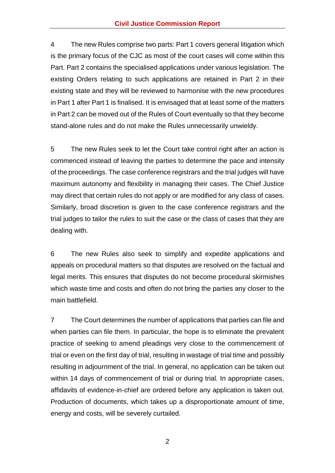4 The new Rules comprise two parts: Part 1 covers general litigation which is the primary focus of the CJC as most of the court cases will come within this Part. Part 2 contains the specialised applications under various legislation. The existing Orders relating to such applications are retained in Part 2 in their existing state and they will be reviewed to harmonise with the new procedures in Part 1 after Part 1 is finalised. It is envisaged that at least some of the matters in Part 2 can be moved out of the Rules of Court eventually so that they become stand-alone rules and do not make the Rules unnecessarily unwieldy.

5 The new Rules seek to let the Court take control right after an action is commenced instead of leaving the parties to determine the pace and intensity of the proceedings. The case conference registrars and the trial judges will have maximum autonomy and flexibility in managing their cases. The Chief Justice may direct that certain rules do not apply or are modified for any class of cases. Similarly, broad discretion is given to the case conference registrars and the trial judges to tailor the rules to suit the case or the class of cases that they are dealing with.

6 The new Rules also seek to simplify and expedite applications and appeals on procedural matters so that disputes are resolved on the factual and legal merits. This ensures that disputes do not become procedural skirmishes which waste time and costs and often do not bring the parties any closer to the main battlefield.

7 The Court determines the number of applications that parties can file and when parties can file them. In particular, the hope is to eliminate the prevalent practice of seeking to amend pleadings very close to the commencement of trial or even on the first day of trial, resulting in wastage of trial time and possibly resulting in adjournment of the trial. In general, no application can be taken out within 14 days of commencement of trial or during trial. In appropriate cases, affidavits of evidence-in-chief are ordered before any application is taken out. Production of documents, which takes up a disproportionate amount of time, energy and costs, will be severely curtailed.

2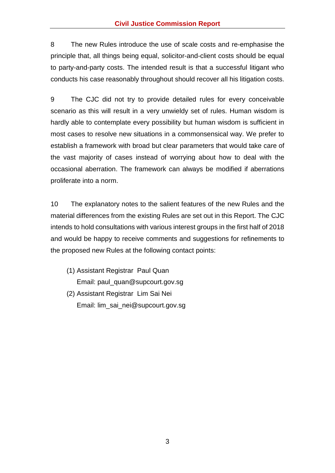8 The new Rules introduce the use of scale costs and re-emphasise the principle that, all things being equal, solicitor-and-client costs should be equal to party-and-party costs. The intended result is that a successful litigant who conducts his case reasonably throughout should recover all his litigation costs.

9 The CJC did not try to provide detailed rules for every conceivable scenario as this will result in a very unwieldy set of rules. Human wisdom is hardly able to contemplate every possibility but human wisdom is sufficient in most cases to resolve new situations in a commonsensical way. We prefer to establish a framework with broad but clear parameters that would take care of the vast majority of cases instead of worrying about how to deal with the occasional aberration. The framework can always be modified if aberrations proliferate into a norm.

10 The explanatory notes to the salient features of the new Rules and the material differences from the existing Rules are set out in this Report. The CJC intends to hold consultations with various interest groups in the first half of 2018 and would be happy to receive comments and suggestions for refinements to the proposed new Rules at the following contact points:

- (1) Assistant Registrar Paul Quan Email: paul\_quan@supcourt.gov.sg
- (2) Assistant Registrar Lim Sai Nei Email: lim\_sai\_nei@supcourt.gov.sg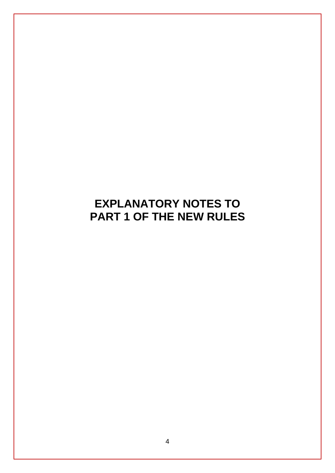# <span id="page-11-0"></span>**EXPLANATORY NOTES TO PART 1 OF THE NEW RULES**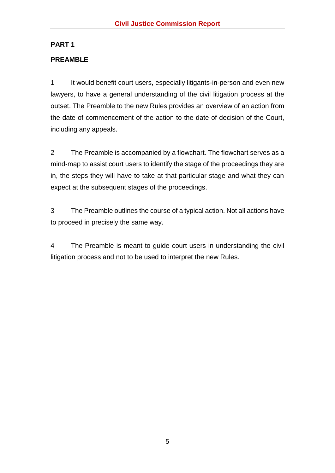# **PART 1**

# <span id="page-12-0"></span>**PREAMBLE**

1 It would benefit court users, especially litigants-in-person and even new lawyers, to have a general understanding of the civil litigation process at the outset. The Preamble to the new Rules provides an overview of an action from the date of commencement of the action to the date of decision of the Court, including any appeals.

2 The Preamble is accompanied by a flowchart. The flowchart serves as a mind-map to assist court users to identify the stage of the proceedings they are in, the steps they will have to take at that particular stage and what they can expect at the subsequent stages of the proceedings.

3 The Preamble outlines the course of a typical action. Not all actions have to proceed in precisely the same way.

4 The Preamble is meant to guide court users in understanding the civil litigation process and not to be used to interpret the new Rules.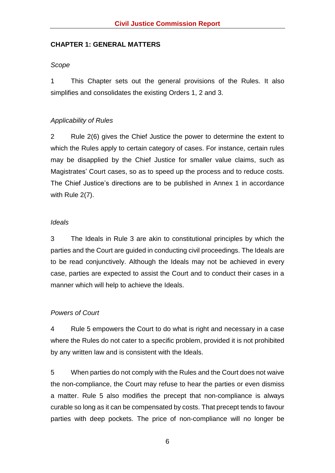#### <span id="page-13-0"></span>**CHAPTER 1: GENERAL MATTERS**

#### <span id="page-13-1"></span>*Scope*

1 This Chapter sets out the general provisions of the Rules. It also simplifies and consolidates the existing Orders 1, 2 and 3.

#### <span id="page-13-2"></span>*Applicability of Rules*

2 Rule 2(6) gives the Chief Justice the power to determine the extent to which the Rules apply to certain category of cases. For instance, certain rules may be disapplied by the Chief Justice for smaller value claims, such as Magistrates' Court cases, so as to speed up the process and to reduce costs. The Chief Justice's directions are to be published in Annex 1 in accordance with Rule 2(7).

#### <span id="page-13-3"></span>*Ideals*

3 The Ideals in Rule 3 are akin to constitutional principles by which the parties and the Court are guided in conducting civil proceedings. The Ideals are to be read conjunctively. Although the Ideals may not be achieved in every case, parties are expected to assist the Court and to conduct their cases in a manner which will help to achieve the Ideals.

#### <span id="page-13-4"></span>*Powers of Court*

4 Rule 5 empowers the Court to do what is right and necessary in a case where the Rules do not cater to a specific problem, provided it is not prohibited by any written law and is consistent with the Ideals.

5 When parties do not comply with the Rules and the Court does not waive the non-compliance, the Court may refuse to hear the parties or even dismiss a matter. Rule 5 also modifies the precept that non-compliance is always curable so long as it can be compensated by costs. That precept tends to favour parties with deep pockets. The price of non-compliance will no longer be

6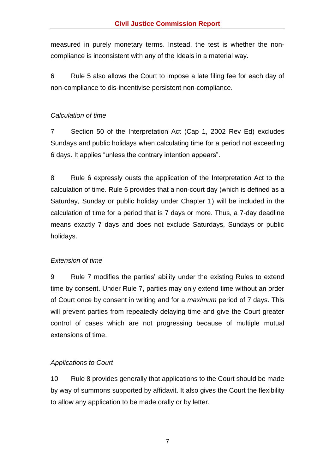measured in purely monetary terms. Instead, the test is whether the noncompliance is inconsistent with any of the Ideals in a material way.

6 Rule 5 also allows the Court to impose a late filing fee for each day of non-compliance to dis-incentivise persistent non-compliance.

# <span id="page-14-0"></span>*Calculation of time*

7 Section 50 of the Interpretation Act (Cap 1, 2002 Rev Ed) excludes Sundays and public holidays when calculating time for a period not exceeding 6 days. It applies "unless the contrary intention appears".

8 Rule 6 expressly ousts the application of the Interpretation Act to the calculation of time. Rule 6 provides that a non-court day (which is defined as a Saturday, Sunday or public holiday under Chapter 1) will be included in the calculation of time for a period that is 7 days or more. Thus, a 7-day deadline means exactly 7 days and does not exclude Saturdays, Sundays or public holidays.

# <span id="page-14-1"></span>*Extension of time*

9 Rule 7 modifies the parties' ability under the existing Rules to extend time by consent. Under Rule 7, parties may only extend time without an order of Court once by consent in writing and for a *maximum* period of 7 days. This will prevent parties from repeatedly delaying time and give the Court greater control of cases which are not progressing because of multiple mutual extensions of time.

# <span id="page-14-2"></span>*Applications to Court*

10 Rule 8 provides generally that applications to the Court should be made by way of summons supported by affidavit. It also gives the Court the flexibility to allow any application to be made orally or by letter.

7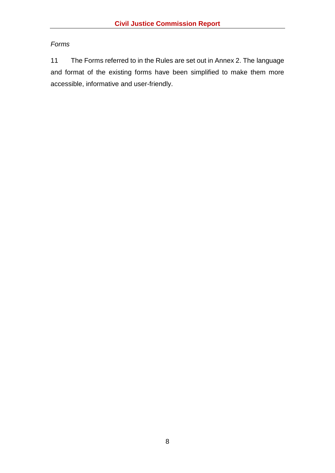# <span id="page-15-0"></span>*Forms*

11 The Forms referred to in the Rules are set out in Annex 2. The language and format of the existing forms have been simplified to make them more accessible, informative and user-friendly.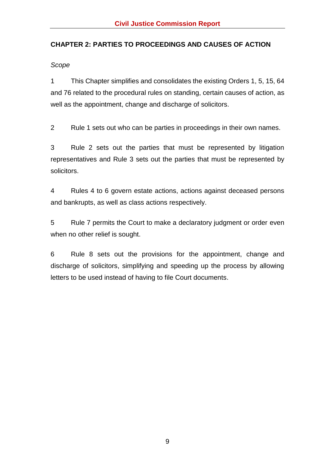# <span id="page-16-0"></span>**CHAPTER 2: PARTIES TO PROCEEDINGS AND CAUSES OF ACTION**

<span id="page-16-1"></span>*Scope* 

1 This Chapter simplifies and consolidates the existing Orders 1, 5, 15, 64 and 76 related to the procedural rules on standing, certain causes of action, as well as the appointment, change and discharge of solicitors.

2 Rule 1 sets out who can be parties in proceedings in their own names.

3 Rule 2 sets out the parties that must be represented by litigation representatives and Rule 3 sets out the parties that must be represented by solicitors.

4 Rules 4 to 6 govern estate actions, actions against deceased persons and bankrupts, as well as class actions respectively.

5 Rule 7 permits the Court to make a declaratory judgment or order even when no other relief is sought.

6 Rule 8 sets out the provisions for the appointment, change and discharge of solicitors, simplifying and speeding up the process by allowing letters to be used instead of having to file Court documents.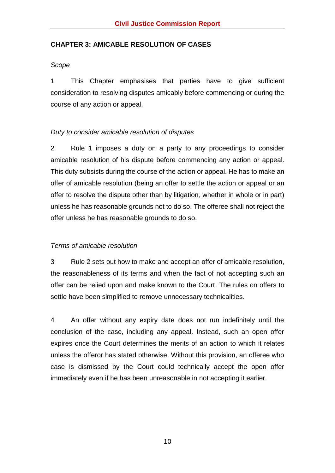#### <span id="page-17-0"></span>**CHAPTER 3: AMICABLE RESOLUTION OF CASES**

#### <span id="page-17-1"></span>*Scope*

1 This Chapter emphasises that parties have to give sufficient consideration to resolving disputes amicably before commencing or during the course of any action or appeal.

#### <span id="page-17-2"></span>*Duty to consider amicable resolution of disputes*

2 Rule 1 imposes a duty on a party to any proceedings to consider amicable resolution of his dispute before commencing any action or appeal. This duty subsists during the course of the action or appeal. He has to make an offer of amicable resolution (being an offer to settle the action or appeal or an offer to resolve the dispute other than by litigation, whether in whole or in part) unless he has reasonable grounds not to do so. The offeree shall not reject the offer unless he has reasonable grounds to do so.

#### <span id="page-17-3"></span>*Terms of amicable resolution*

3 Rule 2 sets out how to make and accept an offer of amicable resolution, the reasonableness of its terms and when the fact of not accepting such an offer can be relied upon and make known to the Court. The rules on offers to settle have been simplified to remove unnecessary technicalities.

4 An offer without any expiry date does not run indefinitely until the conclusion of the case, including any appeal. Instead, such an open offer expires once the Court determines the merits of an action to which it relates unless the offeror has stated otherwise. Without this provision, an offeree who case is dismissed by the Court could technically accept the open offer immediately even if he has been unreasonable in not accepting it earlier.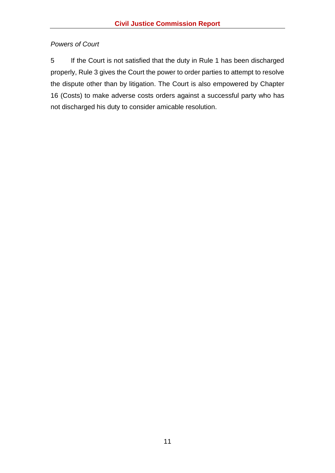# <span id="page-18-0"></span>*Powers of Court*

5 If the Court is not satisfied that the duty in Rule 1 has been discharged properly, Rule 3 gives the Court the power to order parties to attempt to resolve the dispute other than by litigation. The Court is also empowered by Chapter 16 (Costs) to make adverse costs orders against a successful party who has not discharged his duty to consider amicable resolution.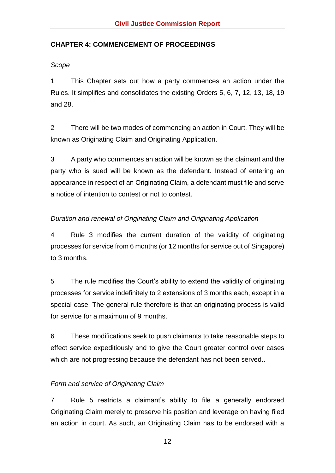# <span id="page-19-0"></span>**CHAPTER 4: COMMENCEMENT OF PROCEEDINGS**

<span id="page-19-1"></span>*Scope*

1 This Chapter sets out how a party commences an action under the Rules. It simplifies and consolidates the existing Orders 5, 6, 7, 12, 13, 18, 19 and 28.

2 There will be two modes of commencing an action in Court. They will be known as Originating Claim and Originating Application.

3 A party who commences an action will be known as the claimant and the party who is sued will be known as the defendant. Instead of entering an appearance in respect of an Originating Claim, a defendant must file and serve a notice of intention to contest or not to contest.

# <span id="page-19-2"></span>*Duration and renewal of Originating Claim and Originating Application*

4 Rule 3 modifies the current duration of the validity of originating processes for service from 6 months (or 12 months for service out of Singapore) to 3 months.

5 The rule modifies the Court's ability to extend the validity of originating processes for service indefinitely to 2 extensions of 3 months each, except in a special case. The general rule therefore is that an originating process is valid for service for a maximum of 9 months.

6 These modifications seek to push claimants to take reasonable steps to effect service expeditiously and to give the Court greater control over cases which are not progressing because the defendant has not been served..

# <span id="page-19-3"></span>*Form and service of Originating Claim*

7 Rule 5 restricts a claimant's ability to file a generally endorsed Originating Claim merely to preserve his position and leverage on having filed an action in court. As such, an Originating Claim has to be endorsed with a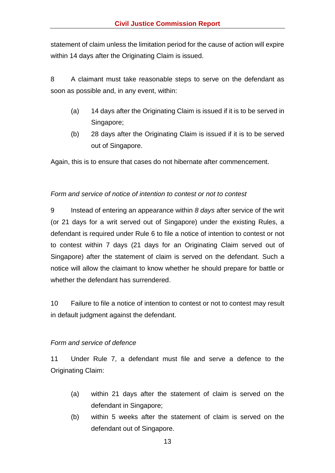statement of claim unless the limitation period for the cause of action will expire within 14 days after the Originating Claim is issued.

8 A claimant must take reasonable steps to serve on the defendant as soon as possible and, in any event, within:

- (a) 14 days after the Originating Claim is issued if it is to be served in Singapore;
- (b) 28 days after the Originating Claim is issued if it is to be served out of Singapore.

Again, this is to ensure that cases do not hibernate after commencement.

#### <span id="page-20-0"></span>*Form and service of notice of intention to contest or not to contest*

9 Instead of entering an appearance within *8 days* after service of the writ (or 21 days for a writ served out of Singapore) under the existing Rules, a defendant is required under Rule 6 to file a notice of intention to contest or not to contest within 7 days (21 days for an Originating Claim served out of Singapore) after the statement of claim is served on the defendant. Such a notice will allow the claimant to know whether he should prepare for battle or whether the defendant has surrendered.

10 Failure to file a notice of intention to contest or not to contest may result in default judgment against the defendant.

#### <span id="page-20-1"></span>*Form and service of defence*

11 Under Rule 7, a defendant must file and serve a defence to the Originating Claim:

- (a) within 21 days after the statement of claim is served on the defendant in Singapore;
- (b) within 5 weeks after the statement of claim is served on the defendant out of Singapore.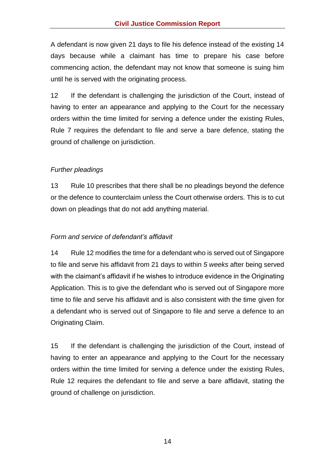A defendant is now given 21 days to file his defence instead of the existing 14 days because while a claimant has time to prepare his case before commencing action, the defendant may not know that someone is suing him until he is served with the originating process.

12 If the defendant is challenging the jurisdiction of the Court, instead of having to enter an appearance and applying to the Court for the necessary orders within the time limited for serving a defence under the existing Rules, Rule 7 requires the defendant to file and serve a bare defence, stating the ground of challenge on jurisdiction.

# <span id="page-21-0"></span>*Further pleadings*

13 Rule 10 prescribes that there shall be no pleadings beyond the defence or the defence to counterclaim unless the Court otherwise orders. This is to cut down on pleadings that do not add anything material.

# <span id="page-21-1"></span>*Form and service of defendant's affidavit*

14 Rule 12 modifies the time for a defendant who is served out of Singapore to file and serve his affidavit from 21 days to within *5 weeks* after being served with the claimant's affidavit if he wishes to introduce evidence in the Originating Application. This is to give the defendant who is served out of Singapore more time to file and serve his affidavit and is also consistent with the time given for a defendant who is served out of Singapore to file and serve a defence to an Originating Claim.

15 If the defendant is challenging the jurisdiction of the Court, instead of having to enter an appearance and applying to the Court for the necessary orders within the time limited for serving a defence under the existing Rules, Rule 12 requires the defendant to file and serve a bare affidavit, stating the ground of challenge on jurisdiction.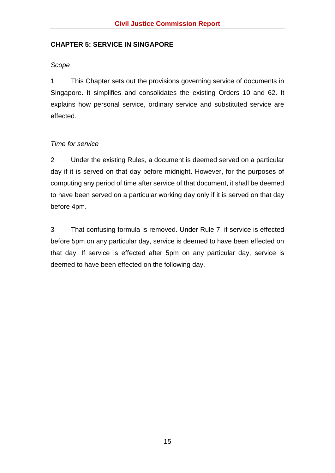#### <span id="page-22-0"></span>**CHAPTER 5: SERVICE IN SINGAPORE**

#### <span id="page-22-1"></span>*Scope*

1 This Chapter sets out the provisions governing service of documents in Singapore. It simplifies and consolidates the existing Orders 10 and 62. It explains how personal service, ordinary service and substituted service are effected.

#### <span id="page-22-2"></span>*Time for service*

2 Under the existing Rules, a document is deemed served on a particular day if it is served on that day before midnight. However, for the purposes of computing any period of time after service of that document, it shall be deemed to have been served on a particular working day only if it is served on that day before 4pm.

3 That confusing formula is removed. Under Rule 7, if service is effected before 5pm on any particular day, service is deemed to have been effected on that day. If service is effected after 5pm on any particular day, service is deemed to have been effected on the following day.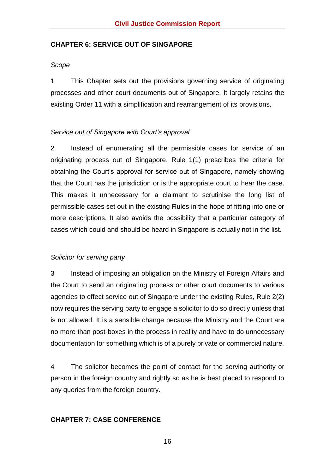#### <span id="page-23-0"></span>**CHAPTER 6: SERVICE OUT OF SINGAPORE**

#### <span id="page-23-1"></span>*Scope*

1 This Chapter sets out the provisions governing service of originating processes and other court documents out of Singapore. It largely retains the existing Order 11 with a simplification and rearrangement of its provisions.

#### <span id="page-23-2"></span>*Service out of Singapore with Court's approval*

2 Instead of enumerating all the permissible cases for service of an originating process out of Singapore, Rule 1(1) prescribes the criteria for obtaining the Court's approval for service out of Singapore, namely showing that the Court has the jurisdiction or is the appropriate court to hear the case. This makes it unnecessary for a claimant to scrutinise the long list of permissible cases set out in the existing Rules in the hope of fitting into one or more descriptions. It also avoids the possibility that a particular category of cases which could and should be heard in Singapore is actually not in the list.

#### <span id="page-23-3"></span>*Solicitor for serving party*

3 Instead of imposing an obligation on the Ministry of Foreign Affairs and the Court to send an originating process or other court documents to various agencies to effect service out of Singapore under the existing Rules, Rule 2(2) now requires the serving party to engage a solicitor to do so directly unless that is not allowed. It is a sensible change because the Ministry and the Court are no more than post-boxes in the process in reality and have to do unnecessary documentation for something which is of a purely private or commercial nature.

4 The solicitor becomes the point of contact for the serving authority or person in the foreign country and rightly so as he is best placed to respond to any queries from the foreign country.

# <span id="page-23-4"></span>**CHAPTER 7: CASE CONFERENCE**

16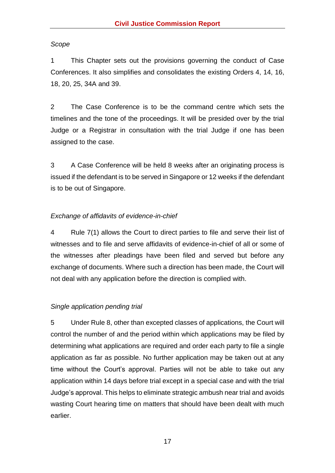#### <span id="page-24-0"></span>*Scope*

1 This Chapter sets out the provisions governing the conduct of Case Conferences. It also simplifies and consolidates the existing Orders 4, 14, 16, 18, 20, 25, 34A and 39.

2 The Case Conference is to be the command centre which sets the timelines and the tone of the proceedings. It will be presided over by the trial Judge or a Registrar in consultation with the trial Judge if one has been assigned to the case.

3 A Case Conference will be held 8 weeks after an originating process is issued if the defendant is to be served in Singapore or 12 weeks if the defendant is to be out of Singapore.

#### <span id="page-24-1"></span>*Exchange of affidavits of evidence-in-chief*

4 Rule 7(1) allows the Court to direct parties to file and serve their list of witnesses and to file and serve affidavits of evidence-in-chief of all or some of the witnesses after pleadings have been filed and served but before any exchange of documents. Where such a direction has been made, the Court will not deal with any application before the direction is complied with.

#### <span id="page-24-2"></span>*Single application pending trial*

5 Under Rule 8, other than excepted classes of applications, the Court will control the number of and the period within which applications may be filed by determining what applications are required and order each party to file a single application as far as possible. No further application may be taken out at any time without the Court's approval. Parties will not be able to take out any application within 14 days before trial except in a special case and with the trial Judge's approval. This helps to eliminate strategic ambush near trial and avoids wasting Court hearing time on matters that should have been dealt with much earlier.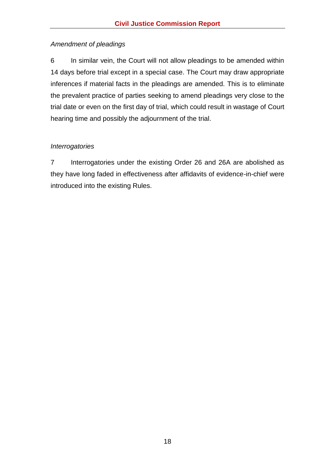# <span id="page-25-0"></span>*Amendment of pleadings*

6 In similar vein, the Court will not allow pleadings to be amended within 14 days before trial except in a special case. The Court may draw appropriate inferences if material facts in the pleadings are amended. This is to eliminate the prevalent practice of parties seeking to amend pleadings very close to the trial date or even on the first day of trial, which could result in wastage of Court hearing time and possibly the adjournment of the trial.

# <span id="page-25-1"></span>*Interrogatories*

7 Interrogatories under the existing Order 26 and 26A are abolished as they have long faded in effectiveness after affidavits of evidence-in-chief were introduced into the existing Rules.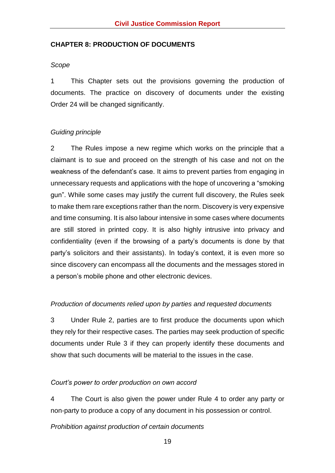#### <span id="page-26-0"></span>**CHAPTER 8: PRODUCTION OF DOCUMENTS**

#### <span id="page-26-1"></span>*Scope*

1 This Chapter sets out the provisions governing the production of documents. The practice on discovery of documents under the existing Order 24 will be changed significantly.

#### <span id="page-26-2"></span>*Guiding principle*

2 The Rules impose a new regime which works on the principle that a claimant is to sue and proceed on the strength of his case and not on the weakness of the defendant's case. It aims to prevent parties from engaging in unnecessary requests and applications with the hope of uncovering a "smoking gun". While some cases may justify the current full discovery, the Rules seek to make them rare exceptions rather than the norm. Discovery is very expensive and time consuming. It is also labour intensive in some cases where documents are still stored in printed copy. It is also highly intrusive into privacy and confidentiality (even if the browsing of a party's documents is done by that party's solicitors and their assistants). In today's context, it is even more so since discovery can encompass all the documents and the messages stored in a person's mobile phone and other electronic devices.

#### <span id="page-26-3"></span>*Production of documents relied upon by parties and requested documents*

3 Under Rule 2, parties are to first produce the documents upon which they rely for their respective cases. The parties may seek production of specific documents under Rule 3 if they can properly identify these documents and show that such documents will be material to the issues in the case.

#### <span id="page-26-4"></span>*Court's power to order production on own accord*

4 The Court is also given the power under Rule 4 to order any party or non-party to produce a copy of any document in his possession or control.

#### <span id="page-26-5"></span>*Prohibition against production of certain documents*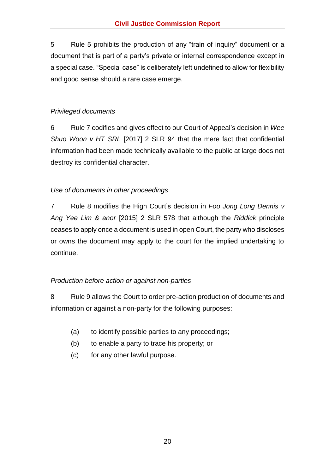5 Rule 5 prohibits the production of any "train of inquiry" document or a document that is part of a party's private or internal correspondence except in a special case. "Special case" is deliberately left undefined to allow for flexibility and good sense should a rare case emerge.

# <span id="page-27-0"></span>*Privileged documents*

6 Rule 7 codifies and gives effect to our Court of Appeal's decision in *Wee Shuo Woon v HT SRL* [2017] 2 SLR 94 that the mere fact that confidential information had been made technically available to the public at large does not destroy its confidential character.

# <span id="page-27-1"></span>*Use of documents in other proceedings*

7 Rule 8 modifies the High Court's decision in *Foo Jong Long Dennis v Ang Yee Lim & anor* [2015] 2 SLR 578 that although the *Riddick* principle ceases to apply once a document is used in open Court, the party who discloses or owns the document may apply to the court for the implied undertaking to continue.

# <span id="page-27-2"></span>*Production before action or against non-parties*

8 Rule 9 allows the Court to order pre-action production of documents and information or against a non-party for the following purposes:

- (a) to identify possible parties to any proceedings;
- (b) to enable a party to trace his property; or
- (c) for any other lawful purpose.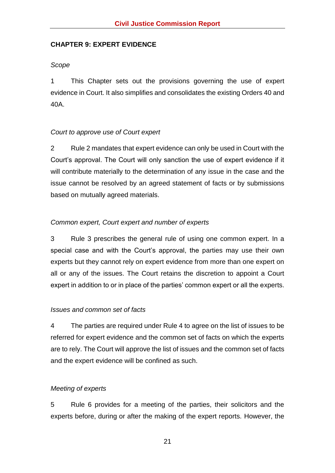### <span id="page-28-0"></span>**CHAPTER 9: EXPERT EVIDENCE**

#### <span id="page-28-1"></span>*Scope*

1 This Chapter sets out the provisions governing the use of expert evidence in Court. It also simplifies and consolidates the existing Orders 40 and 40A.

#### <span id="page-28-2"></span>*Court to approve use of Court expert*

2 Rule 2 mandates that expert evidence can only be used in Court with the Court's approval. The Court will only sanction the use of expert evidence if it will contribute materially to the determination of any issue in the case and the issue cannot be resolved by an agreed statement of facts or by submissions based on mutually agreed materials.

# <span id="page-28-3"></span>*Common expert, Court expert and number of experts*

3 Rule 3 prescribes the general rule of using one common expert. In a special case and with the Court's approval, the parties may use their own experts but they cannot rely on expert evidence from more than one expert on all or any of the issues. The Court retains the discretion to appoint a Court expert in addition to or in place of the parties' common expert or all the experts.

#### <span id="page-28-4"></span>*Issues and common set of facts*

4 The parties are required under Rule 4 to agree on the list of issues to be referred for expert evidence and the common set of facts on which the experts are to rely. The Court will approve the list of issues and the common set of facts and the expert evidence will be confined as such.

#### <span id="page-28-5"></span>*Meeting of experts*

5 Rule 6 provides for a meeting of the parties, their solicitors and the experts before, during or after the making of the expert reports. However, the

21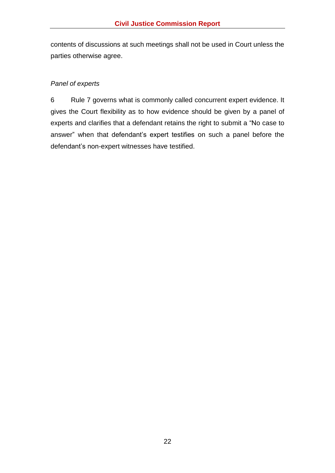contents of discussions at such meetings shall not be used in Court unless the parties otherwise agree.

### <span id="page-29-0"></span>*Panel of experts*

6 Rule 7 governs what is commonly called concurrent expert evidence. It gives the Court flexibility as to how evidence should be given by a panel of experts and clarifies that a defendant retains the right to submit a "No case to answer" when that defendant's expert testifies on such a panel before the defendant's non-expert witnesses have testified.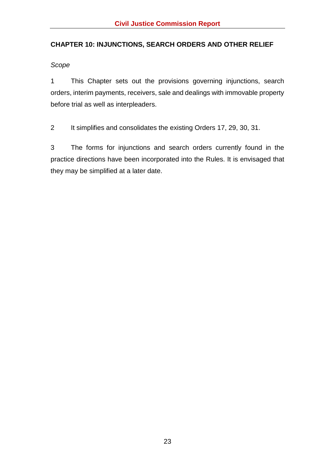# <span id="page-30-0"></span>**CHAPTER 10: INJUNCTIONS, SEARCH ORDERS AND OTHER RELIEF**

<span id="page-30-1"></span>*Scope*

1 This Chapter sets out the provisions governing injunctions, search orders, interim payments, receivers, sale and dealings with immovable property before trial as well as interpleaders.

2 It simplifies and consolidates the existing Orders 17, 29, 30, 31.

3 The forms for injunctions and search orders currently found in the practice directions have been incorporated into the Rules. It is envisaged that they may be simplified at a later date.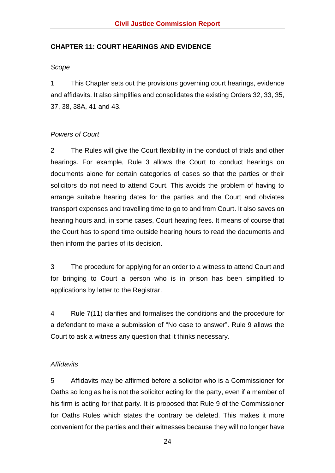#### <span id="page-31-0"></span>**CHAPTER 11: COURT HEARINGS AND EVIDENCE**

#### <span id="page-31-1"></span>*Scope*

1 This Chapter sets out the provisions governing court hearings, evidence and affidavits. It also simplifies and consolidates the existing Orders 32, 33, 35, 37, 38, 38A, 41 and 43.

# <span id="page-31-2"></span>*Powers of Court*

2 The Rules will give the Court flexibility in the conduct of trials and other hearings. For example, Rule 3 allows the Court to conduct hearings on documents alone for certain categories of cases so that the parties or their solicitors do not need to attend Court. This avoids the problem of having to arrange suitable hearing dates for the parties and the Court and obviates transport expenses and travelling time to go to and from Court. It also saves on hearing hours and, in some cases, Court hearing fees. It means of course that the Court has to spend time outside hearing hours to read the documents and then inform the parties of its decision.

3 The procedure for applying for an order to a witness to attend Court and for bringing to Court a person who is in prison has been simplified to applications by letter to the Registrar.

4 Rule 7(11) clarifies and formalises the conditions and the procedure for a defendant to make a submission of "No case to answer". Rule 9 allows the Court to ask a witness any question that it thinks necessary.

#### <span id="page-31-3"></span>*Affidavits*

5 Affidavits may be affirmed before a solicitor who is a Commissioner for Oaths so long as he is not the solicitor acting for the party, even if a member of his firm is acting for that party. It is proposed that Rule 9 of the Commissioner for Oaths Rules which states the contrary be deleted. This makes it more convenient for the parties and their witnesses because they will no longer have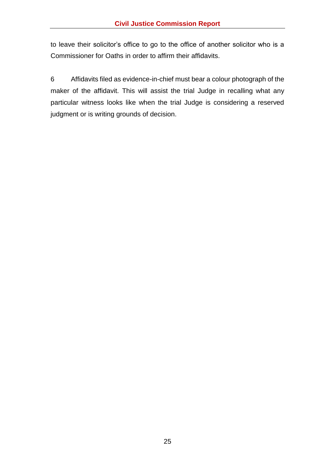to leave their solicitor's office to go to the office of another solicitor who is a Commissioner for Oaths in order to affirm their affidavits.

6 Affidavits filed as evidence-in-chief must bear a colour photograph of the maker of the affidavit. This will assist the trial Judge in recalling what any particular witness looks like when the trial Judge is considering a reserved judgment or is writing grounds of decision.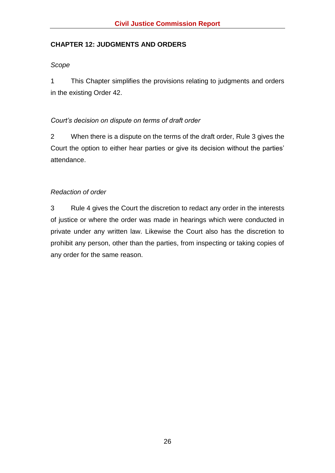# <span id="page-33-0"></span>**CHAPTER 12: JUDGMENTS AND ORDERS**

#### <span id="page-33-1"></span>*Scope*

1 This Chapter simplifies the provisions relating to judgments and orders in the existing Order 42.

#### <span id="page-33-2"></span>*Court's decision on dispute on terms of draft order*

2 When there is a dispute on the terms of the draft order, Rule 3 gives the Court the option to either hear parties or give its decision without the parties' attendance.

# <span id="page-33-3"></span>*Redaction of order*

3 Rule 4 gives the Court the discretion to redact any order in the interests of justice or where the order was made in hearings which were conducted in private under any written law. Likewise the Court also has the discretion to prohibit any person, other than the parties, from inspecting or taking copies of any order for the same reason.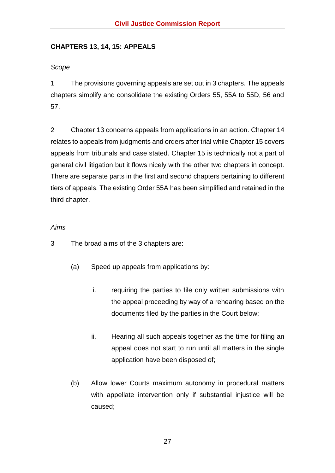# <span id="page-34-0"></span>**CHAPTERS 13, 14, 15: APPEALS**

# <span id="page-34-1"></span>*Scope*

1 The provisions governing appeals are set out in 3 chapters. The appeals chapters simplify and consolidate the existing Orders 55, 55A to 55D, 56 and 57.

2 Chapter 13 concerns appeals from applications in an action. Chapter 14 relates to appeals from judgments and orders after trial while Chapter 15 covers appeals from tribunals and case stated. Chapter 15 is technically not a part of general civil litigation but it flows nicely with the other two chapters in concept. There are separate parts in the first and second chapters pertaining to different tiers of appeals. The existing Order 55A has been simplified and retained in the third chapter.

# <span id="page-34-2"></span>*Aims*

- 3 The broad aims of the 3 chapters are:
	- (a) Speed up appeals from applications by:
		- i. requiring the parties to file only written submissions with the appeal proceeding by way of a rehearing based on the documents filed by the parties in the Court below;
		- ii. Hearing all such appeals together as the time for filing an appeal does not start to run until all matters in the single application have been disposed of;
	- (b) Allow lower Courts maximum autonomy in procedural matters with appellate intervention only if substantial injustice will be caused;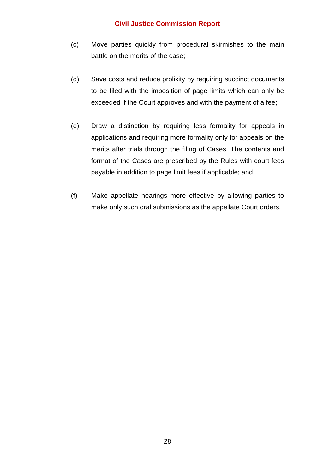- (c) Move parties quickly from procedural skirmishes to the main battle on the merits of the case;
- (d) Save costs and reduce prolixity by requiring succinct documents to be filed with the imposition of page limits which can only be exceeded if the Court approves and with the payment of a fee;
- (e) Draw a distinction by requiring less formality for appeals in applications and requiring more formality only for appeals on the merits after trials through the filing of Cases. The contents and format of the Cases are prescribed by the Rules with court fees payable in addition to page limit fees if applicable; and
- (f) Make appellate hearings more effective by allowing parties to make only such oral submissions as the appellate Court orders.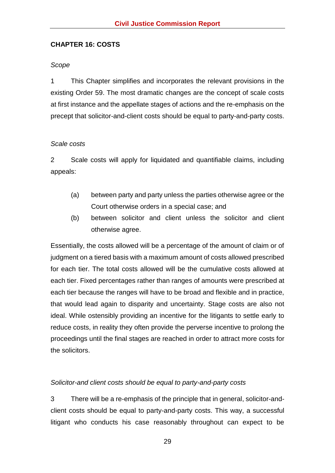#### <span id="page-36-0"></span>**CHAPTER 16: COSTS**

#### <span id="page-36-1"></span>*Scope*

1 This Chapter simplifies and incorporates the relevant provisions in the existing Order 59. The most dramatic changes are the concept of scale costs at first instance and the appellate stages of actions and the re-emphasis on the precept that solicitor-and-client costs should be equal to party-and-party costs.

#### <span id="page-36-2"></span>*Scale costs*

2 Scale costs will apply for liquidated and quantifiable claims, including appeals:

- (a) between party and party unless the parties otherwise agree or the Court otherwise orders in a special case; and
- (b) between solicitor and client unless the solicitor and client otherwise agree.

Essentially, the costs allowed will be a percentage of the amount of claim or of judgment on a tiered basis with a maximum amount of costs allowed prescribed for each tier. The total costs allowed will be the cumulative costs allowed at each tier. Fixed percentages rather than ranges of amounts were prescribed at each tier because the ranges will have to be broad and flexible and in practice, that would lead again to disparity and uncertainty. Stage costs are also not ideal. While ostensibly providing an incentive for the litigants to settle early to reduce costs, in reality they often provide the perverse incentive to prolong the proceedings until the final stages are reached in order to attract more costs for the solicitors.

#### <span id="page-36-3"></span>*Solicitor-and client costs should be equal to party-and-party costs*

3 There will be a re-emphasis of the principle that in general, solicitor-andclient costs should be equal to party-and-party costs. This way, a successful litigant who conducts his case reasonably throughout can expect to be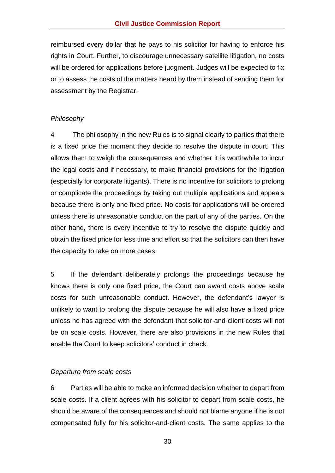reimbursed every dollar that he pays to his solicitor for having to enforce his rights in Court. Further, to discourage unnecessary satellite litigation, no costs will be ordered for applications before judgment. Judges will be expected to fix or to assess the costs of the matters heard by them instead of sending them for assessment by the Registrar.

#### <span id="page-37-0"></span>*Philosophy*

4 The philosophy in the new Rules is to signal clearly to parties that there is a fixed price the moment they decide to resolve the dispute in court. This allows them to weigh the consequences and whether it is worthwhile to incur the legal costs and if necessary, to make financial provisions for the litigation (especially for corporate litigants). There is no incentive for solicitors to prolong or complicate the proceedings by taking out multiple applications and appeals because there is only one fixed price. No costs for applications will be ordered unless there is unreasonable conduct on the part of any of the parties. On the other hand, there is every incentive to try to resolve the dispute quickly and obtain the fixed price for less time and effort so that the solicitors can then have the capacity to take on more cases.

5 If the defendant deliberately prolongs the proceedings because he knows there is only one fixed price, the Court can award costs above scale costs for such unreasonable conduct. However, the defendant's lawyer is unlikely to want to prolong the dispute because he will also have a fixed price unless he has agreed with the defendant that solicitor-and-client costs will not be on scale costs. However, there are also provisions in the new Rules that enable the Court to keep solicitors' conduct in check.

#### <span id="page-37-1"></span>*Departure from scale costs*

6 Parties will be able to make an informed decision whether to depart from scale costs. If a client agrees with his solicitor to depart from scale costs, he should be aware of the consequences and should not blame anyone if he is not compensated fully for his solicitor-and-client costs. The same applies to the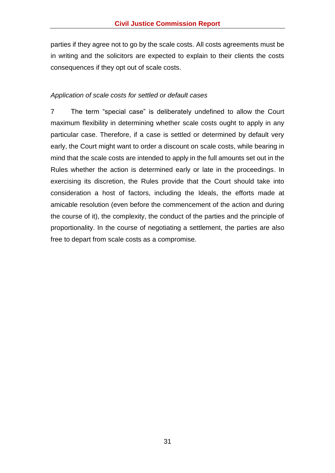parties if they agree not to go by the scale costs. All costs agreements must be in writing and the solicitors are expected to explain to their clients the costs consequences if they opt out of scale costs.

### <span id="page-38-0"></span>*Application of scale costs for settled or default cases*

7 The term "special case" is deliberately undefined to allow the Court maximum flexibility in determining whether scale costs ought to apply in any particular case. Therefore, if a case is settled or determined by default very early, the Court might want to order a discount on scale costs, while bearing in mind that the scale costs are intended to apply in the full amounts set out in the Rules whether the action is determined early or late in the proceedings. In exercising its discretion, the Rules provide that the Court should take into consideration a host of factors, including the Ideals, the efforts made at amicable resolution (even before the commencement of the action and during the course of it), the complexity, the conduct of the parties and the principle of proportionality. In the course of negotiating a settlement, the parties are also free to depart from scale costs as a compromise.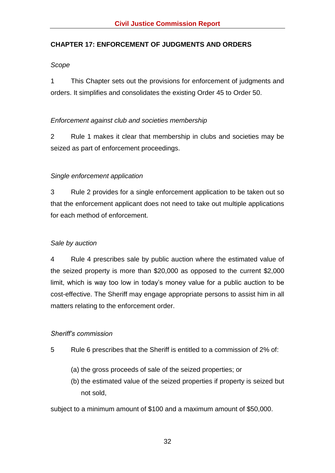# <span id="page-39-0"></span>**CHAPTER 17: ENFORCEMENT OF JUDGMENTS AND ORDERS**

#### <span id="page-39-1"></span>*Scope*

1 This Chapter sets out the provisions for enforcement of judgments and orders. It simplifies and consolidates the existing Order 45 to Order 50.

#### <span id="page-39-2"></span>*Enforcement against club and societies membership*

2 Rule 1 makes it clear that membership in clubs and societies may be seized as part of enforcement proceedings.

#### <span id="page-39-3"></span>*Single enforcement application*

3 Rule 2 provides for a single enforcement application to be taken out so that the enforcement applicant does not need to take out multiple applications for each method of enforcement.

#### <span id="page-39-4"></span>*Sale by auction*

4 Rule 4 prescribes sale by public auction where the estimated value of the seized property is more than \$20,000 as opposed to the current \$2,000 limit, which is way too low in today's money value for a public auction to be cost-effective. The Sheriff may engage appropriate persons to assist him in all matters relating to the enforcement order.

#### <span id="page-39-5"></span>*Sheriff's commission*

- 5 Rule 6 prescribes that the Sheriff is entitled to a commission of 2% of:
	- (a) the gross proceeds of sale of the seized properties; or
	- (b) the estimated value of the seized properties if property is seized but not sold,

subject to a minimum amount of \$100 and a maximum amount of \$50,000.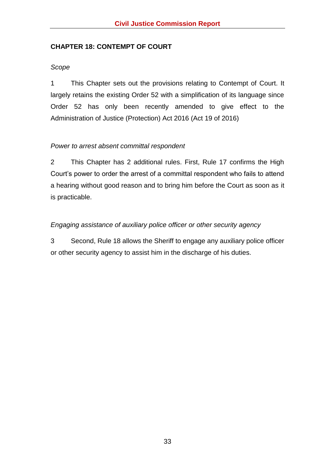# <span id="page-40-0"></span>**CHAPTER 18: CONTEMPT OF COURT**

### <span id="page-40-1"></span>*Scope*

1 This Chapter sets out the provisions relating to Contempt of Court. It largely retains the existing Order 52 with a simplification of its language since Order 52 has only been recently amended to give effect to the Administration of Justice (Protection) Act 2016 (Act 19 of 2016)

# <span id="page-40-2"></span>*Power to arrest absent committal respondent*

2 This Chapter has 2 additional rules. First, Rule 17 confirms the High Court's power to order the arrest of a committal respondent who fails to attend a hearing without good reason and to bring him before the Court as soon as it is practicable.

# <span id="page-40-3"></span>*Engaging assistance of auxiliary police officer or other security agency*

3 Second, Rule 18 allows the Sheriff to engage any auxiliary police officer or other security agency to assist him in the discharge of his duties.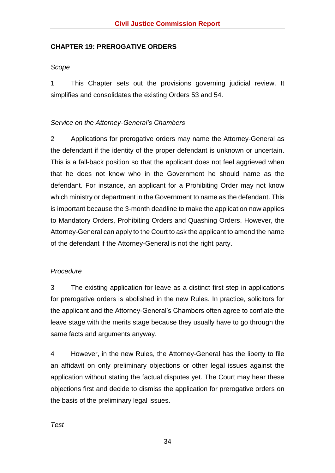#### <span id="page-41-0"></span>**CHAPTER 19: PREROGATIVE ORDERS**

### <span id="page-41-1"></span>*Scope*

1 This Chapter sets out the provisions governing judicial review. It simplifies and consolidates the existing Orders 53 and 54.

# <span id="page-41-2"></span>*Service on the Attorney-General's Chambers*

2 Applications for prerogative orders may name the Attorney-General as the defendant if the identity of the proper defendant is unknown or uncertain. This is a fall-back position so that the applicant does not feel aggrieved when that he does not know who in the Government he should name as the defendant. For instance, an applicant for a Prohibiting Order may not know which ministry or department in the Government to name as the defendant. This is important because the 3-month deadline to make the application now applies to Mandatory Orders, Prohibiting Orders and Quashing Orders. However, the Attorney-General can apply to the Court to ask the applicant to amend the name of the defendant if the Attorney-General is not the right party.

#### <span id="page-41-3"></span>*Procedure*

3 The existing application for leave as a distinct first step in applications for prerogative orders is abolished in the new Rules. In practice, solicitors for the applicant and the Attorney-General's Chambers often agree to conflate the leave stage with the merits stage because they usually have to go through the same facts and arguments anyway.

<span id="page-41-4"></span>4 However, in the new Rules, the Attorney-General has the liberty to file an affidavit on only preliminary objections or other legal issues against the application without stating the factual disputes yet. The Court may hear these objections first and decide to dismiss the application for prerogative orders on the basis of the preliminary legal issues.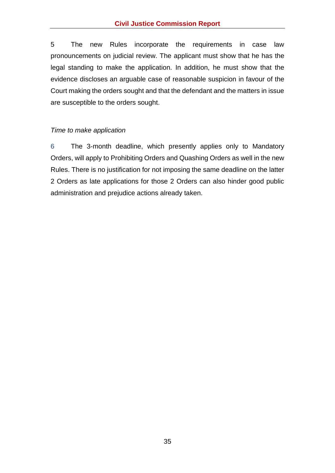5 The new Rules incorporate the requirements in case law pronouncements on judicial review. The applicant must show that he has the legal standing to make the application. In addition, he must show that the evidence discloses an arguable case of reasonable suspicion in favour of the Court making the orders sought and that the defendant and the matters in issue are susceptible to the orders sought.

#### <span id="page-42-0"></span>*Time to make application*

6 The 3-month deadline, which presently applies only to Mandatory Orders, will apply to Prohibiting Orders and Quashing Orders as well in the new Rules. There is no justification for not imposing the same deadline on the latter 2 Orders as late applications for those 2 Orders can also hinder good public administration and prejudice actions already taken.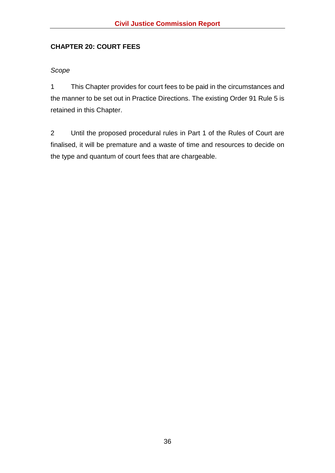# <span id="page-43-0"></span>**CHAPTER 20: COURT FEES**

#### <span id="page-43-1"></span>*Scope*

1 This Chapter provides for court fees to be paid in the circumstances and the manner to be set out in Practice Directions. The existing Order 91 Rule 5 is retained in this Chapter.

2 Until the proposed procedural rules in Part 1 of the Rules of Court are finalised, it will be premature and a waste of time and resources to decide on the type and quantum of court fees that are chargeable.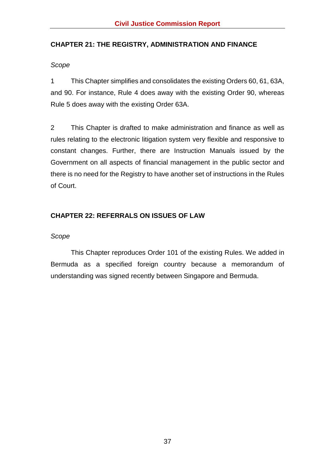# <span id="page-44-0"></span>**CHAPTER 21: THE REGISTRY, ADMINISTRATION AND FINANCE**

#### <span id="page-44-1"></span>*Scope*

1 This Chapter simplifies and consolidates the existing Orders 60, 61, 63A, and 90. For instance, Rule 4 does away with the existing Order 90, whereas Rule 5 does away with the existing Order 63A.

2 This Chapter is drafted to make administration and finance as well as rules relating to the electronic litigation system very flexible and responsive to constant changes. Further, there are Instruction Manuals issued by the Government on all aspects of financial management in the public sector and there is no need for the Registry to have another set of instructions in the Rules of Court.

# <span id="page-44-2"></span>**CHAPTER 22: REFERRALS ON ISSUES OF LAW**

#### <span id="page-44-3"></span>*Scope*

This Chapter reproduces Order 101 of the existing Rules. We added in Bermuda as a specified foreign country because a memorandum of understanding was signed recently between Singapore and Bermuda.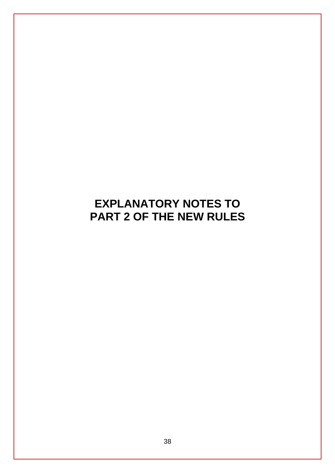# <span id="page-45-0"></span>**EXPLANATORY NOTES TO PART 2 OF THE NEW RULES**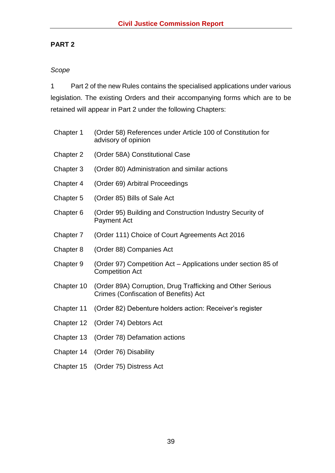# **PART 2**

# <span id="page-46-0"></span>*Scope*

1 Part 2 of the new Rules contains the specialised applications under various legislation. The existing Orders and their accompanying forms which are to be retained will appear in Part 2 under the following Chapters:

| Chapter 1  | (Order 58) References under Article 100 of Constitution for<br>advisory of opinion                  |
|------------|-----------------------------------------------------------------------------------------------------|
| Chapter 2  | (Order 58A) Constitutional Case                                                                     |
| Chapter 3  | (Order 80) Administration and similar actions                                                       |
| Chapter 4  | (Order 69) Arbitral Proceedings                                                                     |
| Chapter 5  | (Order 85) Bills of Sale Act                                                                        |
| Chapter 6  | (Order 95) Building and Construction Industry Security of<br><b>Payment Act</b>                     |
| Chapter 7  | (Order 111) Choice of Court Agreements Act 2016                                                     |
| Chapter 8  | (Order 88) Companies Act                                                                            |
| Chapter 9  | (Order 97) Competition Act – Applications under section 85 of<br><b>Competition Act</b>             |
| Chapter 10 | (Order 89A) Corruption, Drug Trafficking and Other Serious<br>Crimes (Confiscation of Benefits) Act |
| Chapter 11 | (Order 82) Debenture holders action: Receiver's register                                            |
| Chapter 12 | (Order 74) Debtors Act                                                                              |
| Chapter 13 | (Order 78) Defamation actions                                                                       |
| Chapter 14 | (Order 76) Disability                                                                               |
| Chapter 15 | (Order 75) Distress Act                                                                             |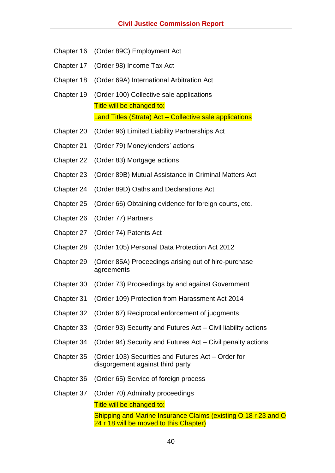- Chapter 16 (Order 89C) Employment Act
- Chapter 17 (Order 98) Income Tax Act
- Chapter 18 (Order 69A) International Arbitration Act
- Chapter 19 (Order 100) Collective sale applications Title will be changed to: Land Titles (Strata) Act – Collective sale applications
- Chapter 20 (Order 96) Limited Liability Partnerships Act
- Chapter 21 (Order 79) Moneylenders' actions
- Chapter 22 (Order 83) Mortgage actions
- Chapter 23 (Order 89B) Mutual Assistance in Criminal Matters Act
- Chapter 24 (Order 89D) Oaths and Declarations Act
- Chapter 25 (Order 66) Obtaining evidence for foreign courts, etc.
- Chapter 26 (Order 77) Partners
- Chapter 27 (Order 74) Patents Act
- Chapter 28 (Order 105) Personal Data Protection Act 2012
- Chapter 29 (Order 85A) Proceedings arising out of hire-purchase agreements
- Chapter 30 (Order 73) Proceedings by and against Government
- Chapter 31 (Order 109) Protection from Harassment Act 2014
- Chapter 32 (Order 67) Reciprocal enforcement of judgments
- Chapter 33 (Order 93) Security and Futures Act Civil liability actions
- Chapter 34 (Order 94) Security and Futures Act Civil penalty actions
- Chapter 35 (Order 103) Securities and Futures Act Order for disgorgement against third party
- Chapter 36 (Order 65) Service of foreign process
- Chapter 37 (Order 70) Admiralty proceedings Title will be changed to: Shipping and Marine Insurance Claims (existing O 18 r 23 and O 24 r 18 will be moved to this Chapter)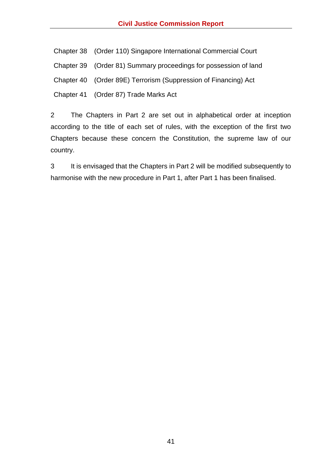Chapter 38 (Order 110) Singapore International Commercial Court

Chapter 39 (Order 81) Summary proceedings for possession of land

Chapter 40 (Order 89E) Terrorism (Suppression of Financing) Act

Chapter 41 (Order 87) Trade Marks Act

2 The Chapters in Part 2 are set out in alphabetical order at inception according to the title of each set of rules, with the exception of the first two Chapters because these concern the Constitution, the supreme law of our country.

3 It is envisaged that the Chapters in Part 2 will be modified subsequently to harmonise with the new procedure in Part 1, after Part 1 has been finalised.